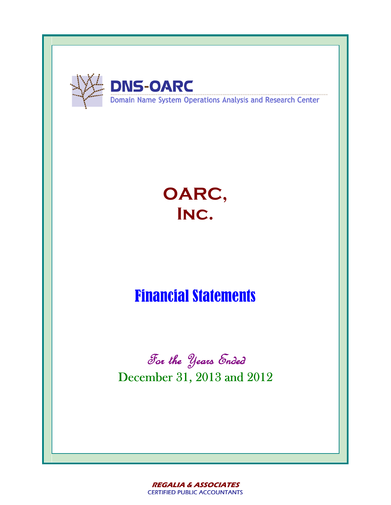



# Financial Statements

For the Years Ended December 31, 2013 and 2012

> **REGALIA & ASSOCIATES**  *CERTIFIED PUBLIC ACCOUNTANTS CERTIFIED PUBLIC ACCOUNTANTS*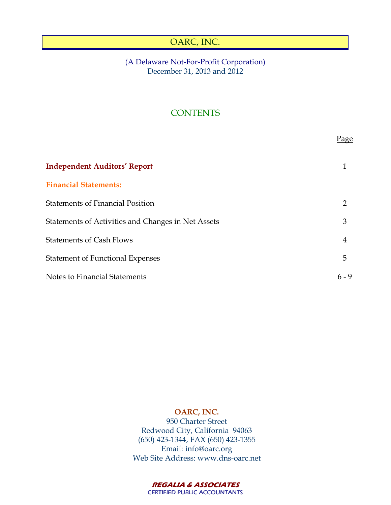# (A Delaware Not-For-Profit Corporation) December 31, 2013 and 2012

# **CONTENTS**

|                                                    | Page           |
|----------------------------------------------------|----------------|
| <b>Independent Auditors' Report</b>                | 1              |
| <b>Financial Statements:</b>                       |                |
| <b>Statements of Financial Position</b>            | $\overline{2}$ |
| Statements of Activities and Changes in Net Assets | 3              |
| <b>Statements of Cash Flows</b>                    | $\overline{4}$ |
| <b>Statement of Functional Expenses</b>            | 5              |
| Notes to Financial Statements                      | $6 - 9$        |

# **OARC, INC.**

950 Charter Street Redwood City, California 94063 (650) 423-1344, FAX (650) 423-1355 Email: info@oarc.org Web Site Address: www.dns-oarc.net

> **REGALIA & ASSOCIATES**  *CERTIFIED PUBLIC ACCOUNTANTS CERTIFIED PUBLIC ACCOUNTANTS*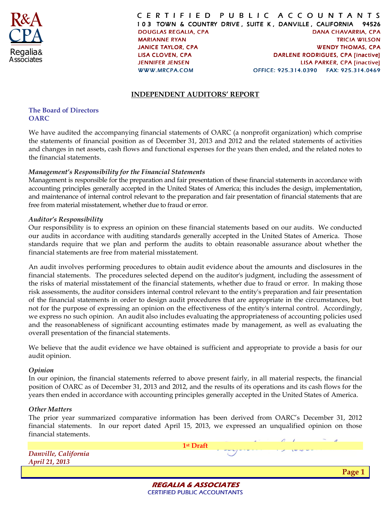

*C E R T I F I E D P U B L I C A C C O U N T A N T S 1 0 3 TOWN & COUNTRY D RIVE , SUITE K , DANVILLE , CALIFORNIA 94526 DO UGLAS REGALIA, C PA DANA CHAVARRIA, CP A MARIANNE RYAN TRIC IA WILSO N JANICE TAYLOR, CPA COMPONE ASSEMBLE AT A PARTICLE WENDY THOMAS, CPA LISA C LO VEN, C PA DARLENE RODRIGU ES, CP A [ LISA VEN, PA DARLENE RODRIGU ES, CP [inac tive] inac tive] LISA PARKER, CPA [inactive] LISA PARKER, CPA [inactive] WW W.MRCP A.C OM OFFIC E: 925.314.0390 FA OM OFFIC FAX: 925.314.0469 X: 925.314.0469*

# **INDEPENDENT AUDITORS' REPORT**

#### **The Board of Directors OARC**

We have audited the accompanying financial statements of OARC (a nonprofit organization) which comprise the statements of financial position as of December 31, 2013 and 2012 and the related statements of activities and changes in net assets, cash flows and functional expenses for the years then ended, and the related notes to the financial statements.

## *Management's Responsibility for the Financial Statements*

Management is responsible for the preparation and fair presentation of these financial statements in accordance with accounting principles generally accepted in the United States of America; this includes the design, implementation, and maintenance of internal control relevant to the preparation and fair presentation of financial statements that are free from material misstatement, whether due to fraud or error.

# *Auditor's Responsibility*

Our responsibility is to express an opinion on these financial statements based on our audits. We conducted our audits in accordance with auditing standards generally accepted in the United States of America. Those standards require that we plan and perform the audits to obtain reasonable assurance about whether the financial statements are free from material misstatement.

An audit involves performing procedures to obtain audit evidence about the amounts and disclosures in the financial statements. The procedures selected depend on the auditor's judgment, including the assessment of the risks of material misstatement of the financial statements, whether due to fraud or error. In making those risk assessments, the auditor considers internal control relevant to the entity's preparation and fair presentation of the financial statements in order to design audit procedures that are appropriate in the circumstances, but not for the purpose of expressing an opinion on the effectiveness of the entity's internal control. Accordingly, we express no such opinion. An audit also includes evaluating the appropriateness of accounting policies used and the reasonableness of significant accounting estimates made by management, as well as evaluating the overall presentation of the financial statements.

We believe that the audit evidence we have obtained is sufficient and appropriate to provide a basis for our audit opinion.

## *Opinion*

In our opinion, the financial statements referred to above present fairly, in all material respects, the financial position of OARC as of December 31, 2013 and 2012, and the results of its operations and its cash flows for the years then ended in accordance with accounting principles generally accepted in the United States of America.

## *Other Matters*

The prior year summarized comparative information has been derived from OARC's December 31, 2012 financial statements. In our report dated April 15, 2013, we expressed an unqualified opinion on those financial statements.

|                      | 1st Draft |       |
|----------------------|-----------|-------|
| Danville, California |           |       |
| April 21, 2013       |           |       |
|                      |           | Page: |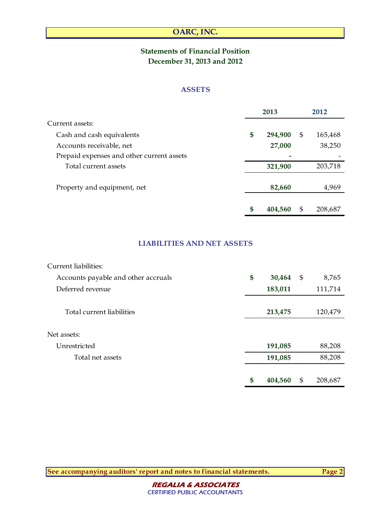# **Statements of Financial Position December 31, 2013 and 2012**

## **ASSETS**

|                                           | 2013 |         | 2012 |         |
|-------------------------------------------|------|---------|------|---------|
| Current assets:                           |      |         |      |         |
| Cash and cash equivalents                 | \$   | 294,900 | \$   | 165,468 |
| Accounts receivable, net                  |      | 27,000  |      | 38,250  |
| Prepaid expenses and other current assets |      |         |      |         |
| Total current assets                      |      | 321,900 |      | 203,718 |
| Property and equipment, net               |      | 82,660  |      | 4,969   |
|                                           | S    | 404,560 | S    | 208,687 |

# **LIABILITIES AND NET ASSETS**

| Current liabilities:                |               |               |
|-------------------------------------|---------------|---------------|
| Accounts payable and other accruals | \$<br>30,464  | \$<br>8,765   |
| Deferred revenue                    | 183,011       | 111,714       |
|                                     |               |               |
| Total current liabilities           | 213,475       | 120,479       |
|                                     |               |               |
| Net assets:                         |               |               |
| Unrestricted                        | 191,085       | 88,208        |
| Total net assets                    | 191,085       | 88,208        |
|                                     |               |               |
|                                     | \$<br>404,560 | \$<br>208,687 |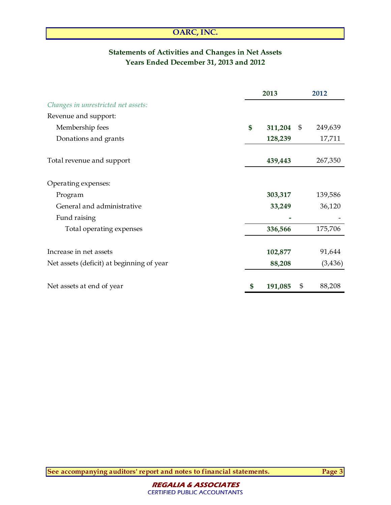# **Statements of Activities and Changes in Net Assets Years Ended December 31, 2013 and 2012**

|                                           |             | 2012            |              |  |
|-------------------------------------------|-------------|-----------------|--------------|--|
| Changes in unrestricted net assets:       |             |                 |              |  |
| Revenue and support:                      |             |                 |              |  |
| Membership fees                           | $\mathbf S$ | 311,204<br>- \$ | 249,639      |  |
| Donations and grants                      |             | 128,239         | 17,711       |  |
| Total revenue and support                 |             | 439,443         | 267,350      |  |
| Operating expenses:                       |             |                 |              |  |
| Program                                   |             | 303,317         | 139,586      |  |
| General and administrative                |             | 33,249          | 36,120       |  |
| Fund raising                              |             |                 |              |  |
| Total operating expenses                  |             | 336,566         | 175,706      |  |
| Increase in net assets                    |             | 102,877         | 91,644       |  |
| Net assets (deficit) at beginning of year |             | 88,208          | (3, 436)     |  |
| Net assets at end of year                 | \$          | 191,085         | \$<br>88,208 |  |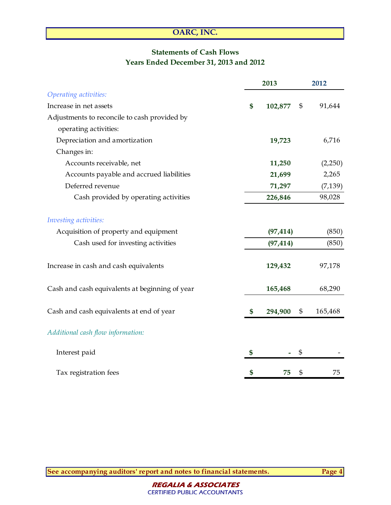# **Statements of Cash Flows Years Ended December 31, 2013 and 2012**

|                                                | 2013          |       | 2012     |
|------------------------------------------------|---------------|-------|----------|
| Operating activities:                          |               |       |          |
| Increase in net assets                         | \$<br>102,877 | $\$\$ | 91,644   |
| Adjustments to reconcile to cash provided by   |               |       |          |
| operating activities:                          |               |       |          |
| Depreciation and amortization                  | 19,723        |       | 6,716    |
| Changes in:                                    |               |       |          |
| Accounts receivable, net                       | 11,250        |       | (2,250)  |
| Accounts payable and accrued liabilities       | 21,699        |       | 2,265    |
| Deferred revenue                               | 71,297        |       | (7, 139) |
| Cash provided by operating activities          | 226,846       |       | 98,028   |
| Investing activities:                          |               |       |          |
| Acquisition of property and equipment          | (97, 414)     |       | (850)    |
| Cash used for investing activities             | (97, 414)     |       | (850)    |
| Increase in cash and cash equivalents          | 129,432       |       | 97,178   |
| Cash and cash equivalents at beginning of year | 165,468       |       | 68,290   |
| Cash and cash equivalents at end of year       | \$<br>294,900 | \$    | 165,468  |
| Additional cash flow information:              |               |       |          |
| Interest paid                                  | \$            | \$    |          |
| Tax registration fees                          | \$<br>75      | \$    | 75       |



**REGALIA & ASSOCIATES**  *CERTIFIED PUBLIC ACCOUNTANTS CERTIFIED PUBLIC ACCOUNTANTS*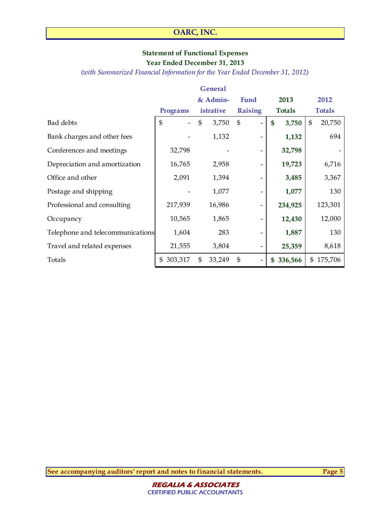# **Statement of Functional Expenses**

**Year Ended December 31, 2013**

*(with Summarized Financial Information for the Year Ended December 31, 2012)*

|                                  |               |                | <b>General</b> |                |    |               |               |
|----------------------------------|---------------|----------------|----------------|----------------|----|---------------|---------------|
|                                  |               |                | & Admin-       | Fund           |    | 2013          | 2012          |
|                                  | Programs      |                | istrative      | <b>Raising</b> |    | <b>Totals</b> | <b>Totals</b> |
| Bad debts                        | \$            | \$             | 3,750          | $\mathfrak{S}$ | \$ | 3,750         | \$<br>20,750  |
| Bank charges and other fees      |               |                | 1,132          |                |    | 1,132         | 694           |
| Conferences and meetings         | 32,798        |                |                |                |    | 32,798        |               |
| Depreciation and amortization    | 16,765        |                | 2,958          |                |    | 19,723        | 6,716         |
| Office and other                 | 2,091         |                | 1,394          |                |    | 3,485         | 3,367         |
| Postage and shipping             |               |                | 1,077          |                |    | 1,077         | 130           |
| Professional and consulting      | 217,939       |                | 16,986         |                |    | 234,925       | 123,301       |
| Occupancy                        | 10,565        |                | 1,865          |                |    | 12,430        | 12,000        |
| Telephone and telecommunications | 1,604         |                | 283            |                |    | 1,887         | 130           |
| Travel and related expenses      | 21,555        |                | 3,804          |                |    | 25,359        | 8,618         |
| Totals                           | 303,317<br>\$ | $\mathfrak{S}$ | 33,249         | $\mathfrak{S}$ | \$ | 336,566       | \$<br>175,706 |

**See accompanying auditors' report and notes to financial statements. Page 5**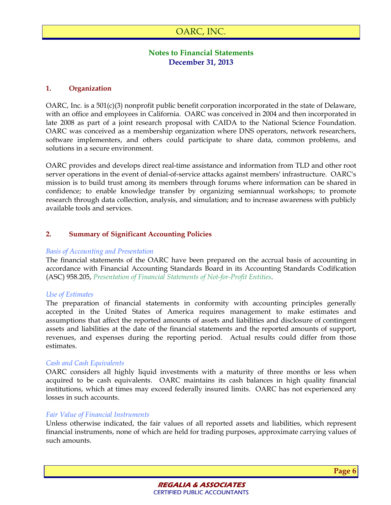# **Notes to Financial Statements December 31, 2013**

#### **1. Organization**

OARC, Inc. is a  $501(c)(3)$  nonprofit public benefit corporation incorporated in the state of Delaware, with an office and employees in California. OARC was conceived in 2004 and then incorporated in late 2008 as part of a joint research proposal with CAIDA to the National Science Foundation. OARC was conceived as a membership organization where DNS operators, network researchers, software implementers, and others could participate to share data, common problems, and solutions in a secure environment.

OARC provides and develops direct real-time assistance and information from TLD and other root server operations in the event of denial-of-service attacks against members' infrastructure. OARC's mission is to build trust among its members through forums where information can be shared in confidence; to enable knowledge transfer by organizing semiannual workshops; to promote research through data collection, analysis, and simulation; and to increase awareness with publicly available tools and services.

## **2. Summary of Significant Accounting Policies**

#### *Basis of Accounting and Presentation*

The financial statements of the OARC have been prepared on the accrual basis of accounting in accordance with Financial Accounting Standards Board in its Accounting Standards Codification (ASC) 958.205, *Presentation of Financial Statements of Not-for-Profit Entities*.

#### *Use of Estimates*

The preparation of financial statements in conformity with accounting principles generally accepted in the United States of America requires management to make estimates and assumptions that affect the reported amounts of assets and liabilities and disclosure of contingent assets and liabilities at the date of the financial statements and the reported amounts of support, revenues, and expenses during the reporting period. Actual results could differ from those estimates.

#### *Cash and Cash Equivalents*

OARC considers all highly liquid investments with a maturity of three months or less when acquired to be cash equivalents. OARC maintains its cash balances in high quality financial institutions, which at times may exceed federally insured limits. OARC has not experienced any losses in such accounts.

#### *Fair Value of Financial Instruments*

Unless otherwise indicated, the fair values of all reported assets and liabilities, which represent financial instruments, none of which are held for trading purposes, approximate carrying values of such amounts.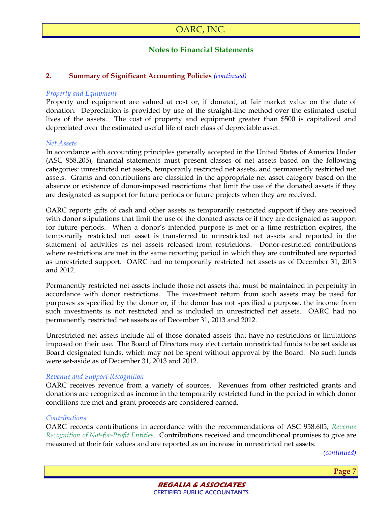## **Notes to Financial Statements**

#### **2. Summary of Significant Accounting Policies** *(continued)*

#### *Property and Equipment*

Property and equipment are valued at cost or, if donated, at fair market value on the date of donation. Depreciation is provided by use of the straight-line method over the estimated useful lives of the assets. The cost of property and equipment greater than \$500 is capitalized and depreciated over the estimated useful life of each class of depreciable asset.

#### *Net Assets*

In accordance with accounting principles generally accepted in the United States of America Under (ASC 958.205), financial statements must present classes of net assets based on the following categories: unrestricted net assets, temporarily restricted net assets, and permanently restricted net assets. Grants and contributions are classified in the appropriate net asset category based on the absence or existence of donor-imposed restrictions that limit the use of the donated assets if they are designated as support for future periods or future projects when they are received.

OARC reports gifts of cash and other assets as temporarily restricted support if they are received with donor stipulations that limit the use of the donated assets or if they are designated as support for future periods. When a donor's intended purpose is met or a time restriction expires, the temporarily restricted net asset is transferred to unrestricted net assets and reported in the statement of activities as net assets released from restrictions. Donor-restricted contributions where restrictions are met in the same reporting period in which they are contributed are reported as unrestricted support. OARC had no temporarily restricted net assets as of December 31, 2013 and 2012.

Permanently restricted net assets include those net assets that must be maintained in perpetuity in accordance with donor restrictions. The investment return from such assets may be used for purposes as specified by the donor or, if the donor has not specified a purpose, the income from such investments is not restricted and is included in unrestricted net assets. OARC had no permanently restricted net assets as of December 31, 2013 and 2012.

Unrestricted net assets include all of those donated assets that have no restrictions or limitations imposed on their use. The Board of Directors may elect certain unrestricted funds to be set aside as Board designated funds, which may not be spent without approval by the Board. No such funds were set-aside as of December 31, 2013 and 2012.

#### *Revenue and Support Recognition*

OARC receives revenue from a variety of sources. Revenues from other restricted grants and donations are recognized as income in the temporarily restricted fund in the period in which donor conditions are met and grant proceeds are considered earned.

#### *Contributions*

OARC records contributions in accordance with the recommendations of ASC 958.605, *Revenue Recognition of Not-for-Profit Entities*. Contributions received and unconditional promises to give are measured at their fair values and are reported as an increase in unrestricted net assets.

*(continued)* 



**Page 7**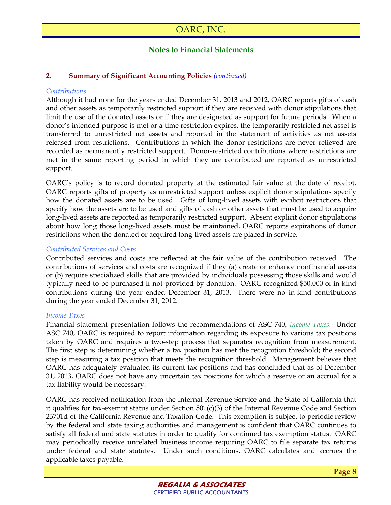# **Notes to Financial Statements**

## **2. Summary of Significant Accounting Policies** *(continued)*

#### *Contributions*

Although it had none for the years ended December 31, 2013 and 2012, OARC reports gifts of cash and other assets as temporarily restricted support if they are received with donor stipulations that limit the use of the donated assets or if they are designated as support for future periods. When a donor's intended purpose is met or a time restriction expires, the temporarily restricted net asset is transferred to unrestricted net assets and reported in the statement of activities as net assets released from restrictions. Contributions in which the donor restrictions are never relieved are recorded as permanently restricted support. Donor-restricted contributions where restrictions are met in the same reporting period in which they are contributed are reported as unrestricted support.

OARC's policy is to record donated property at the estimated fair value at the date of receipt. OARC reports gifts of property as unrestricted support unless explicit donor stipulations specify how the donated assets are to be used. Gifts of long-lived assets with explicit restrictions that specify how the assets are to be used and gifts of cash or other assets that must be used to acquire long-lived assets are reported as temporarily restricted support. Absent explicit donor stipulations about how long those long-lived assets must be maintained, OARC reports expirations of donor restrictions when the donated or acquired long-lived assets are placed in service.

#### *Contributed Services and Costs*

Contributed services and costs are reflected at the fair value of the contribution received. The contributions of services and costs are recognized if they (a) create or enhance nonfinancial assets or (b) require specialized skills that are provided by individuals possessing those skills and would typically need to be purchased if not provided by donation. OARC recognized \$50,000 of in-kind contributions during the year ended December 31, 2013. There were no in-kind contributions during the year ended December 31, 2012.

#### *Income Taxes*

Financial statement presentation follows the recommendations of ASC 740, *Income Taxes*. Under ASC 740, OARC is required to report information regarding its exposure to various tax positions taken by OARC and requires a two-step process that separates recognition from measurement. The first step is determining whether a tax position has met the recognition threshold; the second step is measuring a tax position that meets the recognition threshold. Management believes that OARC has adequately evaluated its current tax positions and has concluded that as of December 31, 2013, OARC does not have any uncertain tax positions for which a reserve or an accrual for a tax liability would be necessary.

OARC has received notification from the Internal Revenue Service and the State of California that it qualifies for tax-exempt status under Section  $501(c)(3)$  of the Internal Revenue Code and Section 23701d of the California Revenue and Taxation Code. This exemption is subject to periodic review by the federal and state taxing authorities and management is confident that OARC continues to satisfy all federal and state statutes in order to qualify for continued tax exemption status. OARC may periodically receive unrelated business income requiring OARC to file separate tax returns under federal and state statutes. Under such conditions, OARC calculates and accrues the applicable taxes payable.